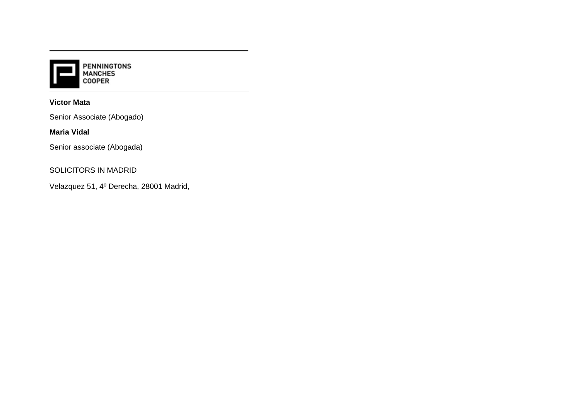

## **Victor Mata**

Senior Associate (Abogado)

### **Maria Vidal**

Senior associate (Abogada)

## SOLICITORS IN MADRID

Velazquez 51, 4º Derecha, 28001 Madrid,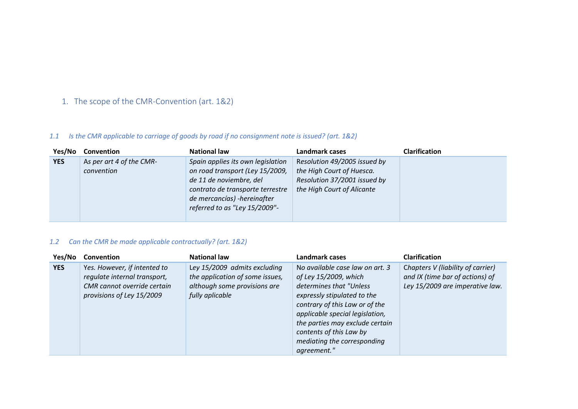1. The scope of the CMR-Convention (art. 1&2)

## *1.1 Is the CMR applicable to carriage of goods by road if no consignment note is issued? (art. 1&2)*

| Yes/No     | Convention                             | <b>National law</b>                                                                                                                                                                                 | Landmark cases                                                                                                          | <b>Clarification</b> |
|------------|----------------------------------------|-----------------------------------------------------------------------------------------------------------------------------------------------------------------------------------------------------|-------------------------------------------------------------------------------------------------------------------------|----------------------|
| <b>YES</b> | As per art 4 of the CMR-<br>convention | Spain applies its own legislation<br>on road transport (Ley 15/2009,<br>de 11 de noviembre, del<br>contrato de transporte terrestre<br>de mercancías) -hereinafter<br>referred to as "Ley 15/2009"- | Resolution 49/2005 issued by<br>the High Court of Huesca.<br>Resolution 37/2001 issued by<br>the High Court of Alicante |                      |

## *1.2 Can the CMR be made applicable contractually? (art. 1&2)*

| Yes/No     | <b>Convention</b>                                                                                                        | <b>National law</b>                                                                                                | Landmark cases<br>Clarification                                                                                                                                                                                                                                                                     |                                                                                                         |  |
|------------|--------------------------------------------------------------------------------------------------------------------------|--------------------------------------------------------------------------------------------------------------------|-----------------------------------------------------------------------------------------------------------------------------------------------------------------------------------------------------------------------------------------------------------------------------------------------------|---------------------------------------------------------------------------------------------------------|--|
| <b>YES</b> | Yes. However, if intented to<br>regulate internal transport,<br>CMR cannot override certain<br>provisions of Ley 15/2009 | Ley 15/2009 admits excluding<br>the application of some issues,<br>although some provisions are<br>fully aplicable | No available case law on art. 3<br>of Ley 15/2009, which<br>determines that "Unless<br>expressly stipulated to the<br>contrary of this Law or of the<br>applicable special legislation,<br>the parties may exclude certain<br>contents of this Law by<br>mediating the corresponding<br>agreement." | Chapters V (liability of carrier)<br>and IX (time bar of actions) of<br>Ley 15/2009 are imperative law. |  |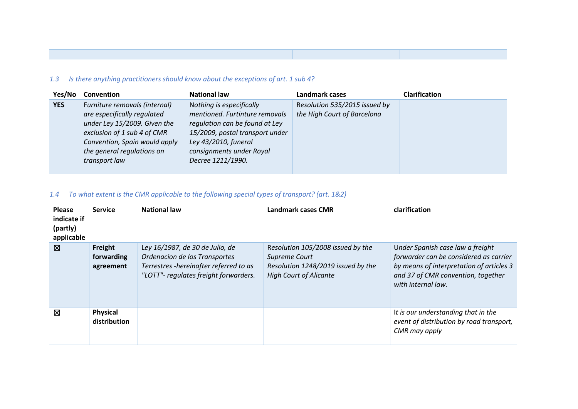## *1.3 Is there anything practitioners should know about the exceptions of art. 1 sub 4?*

| Yes/No     | <b>Convention</b>             | <b>National law</b>             | Landmark cases                | <b>Clarification</b> |
|------------|-------------------------------|---------------------------------|-------------------------------|----------------------|
| <b>YES</b> | Furniture removals (internal) | Nothing is especifically        | Resolution 535/2015 issued by |                      |
|            | are especifically regulated   | mentioned. Furtinture removals  | the High Court of Barcelona   |                      |
|            | under Ley 15/2009. Given the  | regulation can be found at Ley  |                               |                      |
|            | exclusion of 1 sub 4 of CMR   | 15/2009, postal transport under |                               |                      |
|            | Convention, Spain would apply | Ley 43/2010, funeral            |                               |                      |
|            | the general regulations on    | consignments under Royal        |                               |                      |
|            | transport law                 | Decree 1211/1990.               |                               |                      |
|            |                               |                                 |                               |                      |

## *1.4 To what extent is the CMR applicable to the following special types of transport? (art. 1&2)*

| <b>Please</b><br>indicate if<br>(partly)<br>applicable | <b>Service</b>                     | <b>National law</b>                                                                                                                                 | Landmark cases CMR                                                                                                        | clarification                                                                                                                                                                      |
|--------------------------------------------------------|------------------------------------|-----------------------------------------------------------------------------------------------------------------------------------------------------|---------------------------------------------------------------------------------------------------------------------------|------------------------------------------------------------------------------------------------------------------------------------------------------------------------------------|
| ⊠                                                      | Freight<br>forwarding<br>agreement | Ley 16/1987, de 30 de Julio, de<br>Ordenacion de los Transportes<br>Terrestres -hereinafter referred to as<br>"LOTT"- regulates freight forwarders. | Resolution 105/2008 issued by the<br>Supreme Court<br>Resolution 1248/2019 issued by the<br><b>High Court of Alicante</b> | Under Spanish case law a freight<br>forwarder can be considered as carrier<br>by means of interpretation of articles 3<br>and 37 of CMR convention, together<br>with internal law. |
| 図                                                      | <b>Physical</b><br>distribution    |                                                                                                                                                     |                                                                                                                           | It is our understanding that in the<br>event of distribution by road transport,<br>CMR may apply                                                                                   |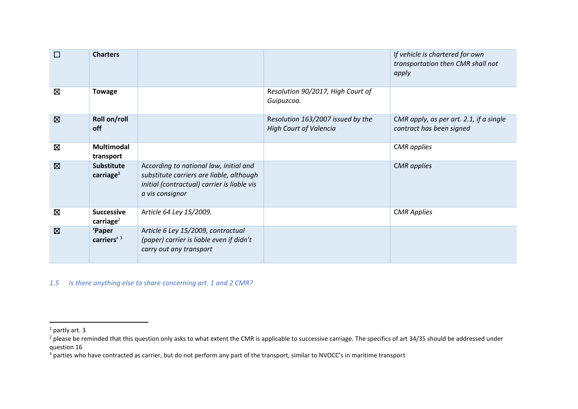| $\Box$      | <b>Charters</b>                            |                                                                                                                                                      |                                                                    | If vehicle is chartered for own<br>transportation then CMR shall not<br>apply |
|-------------|--------------------------------------------|------------------------------------------------------------------------------------------------------------------------------------------------------|--------------------------------------------------------------------|-------------------------------------------------------------------------------|
| 図           | <b>Towage</b>                              |                                                                                                                                                      | Resolution 90/2017, High Court of<br>Guipuzcoa.                    |                                                                               |
| $\boxtimes$ | Roll on/roll<br>off                        |                                                                                                                                                      | Resolution 163/2007 issued by the<br><b>High Court of Valencia</b> | CMR apply, as per art. 2.1, if a single<br>contract has been signed           |
| Ø           | <b>Multimodal</b><br>transport             |                                                                                                                                                      |                                                                    | <b>CMR</b> applies                                                            |
| $\boxtimes$ | <b>Substitute</b><br>carriage $^1$         | According to national law, initial and<br>substitute carriers are liable, although<br>initial (contractual) carrier is liable vis<br>a vis consignor |                                                                    | <b>CMR</b> applies                                                            |
| ⊠           | <b>Successive</b><br>carriage <sup>2</sup> | Article 64 Ley 15/2009.                                                                                                                              |                                                                    | <b>CMR Applies</b>                                                            |
| $\boxtimes$ | 'Paper<br>carriers' <sup>3</sup>           | Article 6 Ley 15/2009, contractual<br>(paper) carrier is liable even if didn't<br>carry out any transport                                            |                                                                    |                                                                               |

*1.5 Is there anything else to share concerning art. 1 and 2 CMR?*

 $1$  partly art. 3

 $^{2}$  please be reminded that this question only asks to what extent the CMR is applicable to successive carriage. The specifics of art 34/35 should be addressed under question 16

<sup>&</sup>lt;sup>3</sup> parties who have contracted as carrier, but do not perform any part of the transport, similar to NVOCC's in maritime transport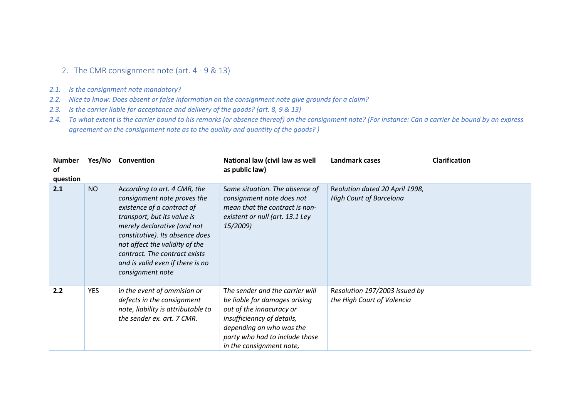## 2. The CMR consignment note (art. 4 - 9 & 13)

- *2.1. Is the consignment note mandatory?*
- *2.2. Nice to know: Does absent or false information on the consignment note give grounds for a claim?*
- *2.3. Is the carrier liable for acceptance and delivery of the goods? (art. 8, 9 & 13)*
- *2.4. To what extent is the carrier bound to his remarks (or absence thereof) on the consignment note? (For instance: Can a carrier be bound by an express agreement on the consignment note as to the quality and quantity of the goods? )*

| <b>Number</b><br>of<br>question | Yes/No     | Convention                                                                                                                                                                                                                                                                                                            | National law (civil law as well<br>as public law)                                                                                                                                                                    | Landmark cases                                                   | <b>Clarification</b> |
|---------------------------------|------------|-----------------------------------------------------------------------------------------------------------------------------------------------------------------------------------------------------------------------------------------------------------------------------------------------------------------------|----------------------------------------------------------------------------------------------------------------------------------------------------------------------------------------------------------------------|------------------------------------------------------------------|----------------------|
| 2.1                             | <b>NO</b>  | According to art. 4 CMR, the<br>consignment note proves the<br>existence of a contract of<br>transport, but its value is<br>merely declarative (and not<br>constitutive). Its absence does<br>not affect the validity of the<br>contract. The contract exists<br>and is valid even if there is no<br>consignment note | Same situation. The absence of<br>consignment note does not<br>mean that the contract is non-<br>existent or null (art. 13.1 Ley<br>15/2009)                                                                         | Reolution dated 20 April 1998,<br><b>High Court of Barcelona</b> |                      |
| 2.2                             | <b>YES</b> | in the event of ommision or<br>defects in the consignment<br>note, liability is attributable to<br>the sender ex. art. 7 CMR.                                                                                                                                                                                         | The sender and the carrier will<br>be liable for damages arising<br>out of the innacuracy or<br>insufficienncy of details,<br>depending on who was the<br>party who had to include those<br>in the consignment note, | Resolution 197/2003 issued by<br>the High Court of Valencia      |                      |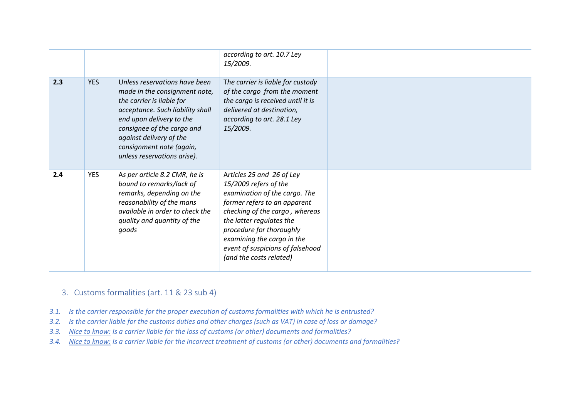|     |            |                                                                                                                                                                                                                                                                                 | according to art. 10.7 Ley<br>15/2009.                                                                                                                                                                                                                                                                     |  |
|-----|------------|---------------------------------------------------------------------------------------------------------------------------------------------------------------------------------------------------------------------------------------------------------------------------------|------------------------------------------------------------------------------------------------------------------------------------------------------------------------------------------------------------------------------------------------------------------------------------------------------------|--|
| 2.3 | <b>YES</b> | Unless reservations have been<br>made in the consignment note,<br>the carrier is liable for<br>acceptance. Such liability shall<br>end upon delivery to the<br>consignee of the cargo and<br>against delivery of the<br>consignment note (again,<br>unless reservations arise). | The carrier is liable for custody<br>of the cargo from the moment<br>the cargo is received until it is<br>delivered at destination,<br>according to art. 28.1 Ley<br>15/2009.                                                                                                                              |  |
| 2.4 | <b>YES</b> | As per article 8.2 CMR, he is<br>bound to remarks/lack of<br>remarks, depending on the<br>reasonability of the mans<br>available in order to check the<br>quality and quantity of the<br>goods                                                                                  | Articles 25 and 26 of Ley<br>15/2009 refers of the<br>examination of the cargo. The<br>former refers to an apparent<br>checking of the cargo, whereas<br>the latter regulates the<br>procedure for thoroughly<br>examining the cargo in the<br>event of suspicions of falsehood<br>(and the costs related) |  |

- 3. Customs formalities (art. 11 & 23 sub 4)
- *3.1. Is the carrier responsible for the proper execution of customs formalities with which he is entrusted?*
- *3.2. Is the carrier liable for the customs duties and other charges (such as VAT) in case of loss or damage?*
- *3.3. Nice to know: Is a carrier liable for the loss of customs (or other) documents and formalities?*
- *3.4. Nice to know: Is a carrier liable for the incorrect treatment of customs (or other) documents and formalities?*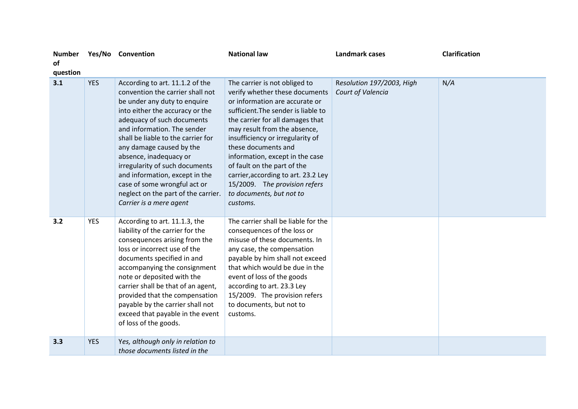| <b>Number</b><br><b>of</b><br>question |            | Yes/No Convention                                                                                                                                                                                                                                                                                                                                                                                                                                                     | <b>National law</b>                                                                                                                                                                                                                                                                                                                                                                                                                                       | <b>Landmark cases</b>                          | <b>Clarification</b> |
|----------------------------------------|------------|-----------------------------------------------------------------------------------------------------------------------------------------------------------------------------------------------------------------------------------------------------------------------------------------------------------------------------------------------------------------------------------------------------------------------------------------------------------------------|-----------------------------------------------------------------------------------------------------------------------------------------------------------------------------------------------------------------------------------------------------------------------------------------------------------------------------------------------------------------------------------------------------------------------------------------------------------|------------------------------------------------|----------------------|
| 3.1                                    | <b>YES</b> | According to art. 11.1.2 of the<br>convention the carrier shall not<br>be under any duty to enquire<br>into either the accuracy or the<br>adequacy of such documents<br>and information. The sender<br>shall be liable to the carrier for<br>any damage caused by the<br>absence, inadequacy or<br>irregularity of such documents<br>and information, except in the<br>case of some wrongful act or<br>neglect on the part of the carrier.<br>Carrier is a mere agent | The carrier is not obliged to<br>verify whether these documents<br>or information are accurate or<br>sufficient. The sender is liable to<br>the carrier for all damages that<br>may result from the absence,<br>insufficiency or irregularity of<br>these documents and<br>information, except in the case<br>of fault on the part of the<br>carrier, according to art. 23.2 Ley<br>15/2009. The provision refers<br>to documents, but not to<br>customs. | Resolution 197/2003, High<br>Court of Valencia | N/A                  |
| 3.2                                    | <b>YES</b> | According to art. 11.1.3, the<br>liability of the carrier for the<br>consequences arising from the<br>loss or incorrect use of the<br>documents specified in and<br>accompanying the consignment<br>note or deposited with the<br>carrier shall be that of an agent,<br>provided that the compensation<br>payable by the carrier shall not<br>exceed that payable in the event<br>of loss of the goods.                                                               | The carrier shall be liable for the<br>consequences of the loss or<br>misuse of these documents. In<br>any case, the compensation<br>payable by him shall not exceed<br>that which would be due in the<br>event of loss of the goods<br>according to art. 23.3 Ley<br>15/2009. The provision refers<br>to documents, but not to<br>customs.                                                                                                               |                                                |                      |
| 3.3                                    | <b>YES</b> | Yes, although only in relation to<br>those documents listed in the                                                                                                                                                                                                                                                                                                                                                                                                    |                                                                                                                                                                                                                                                                                                                                                                                                                                                           |                                                |                      |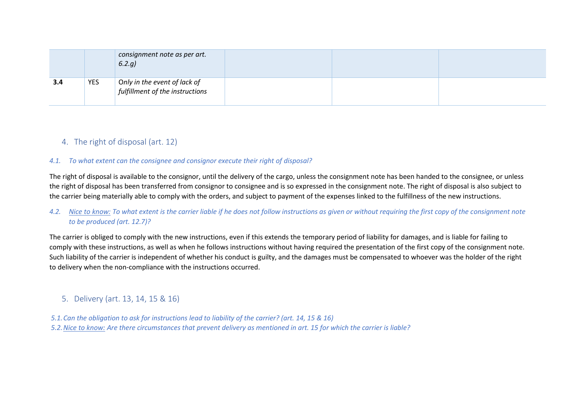|     |            | consignment note as per art.<br>6.2.9                           |
|-----|------------|-----------------------------------------------------------------|
| 3.4 | <b>YES</b> | Only in the event of lack of<br>fulfillment of the instructions |

## 4. The right of disposal (art. 12)

#### *4.1. To what extent can the consignee and consignor execute their right of disposal?*

The right of disposal is available to the consignor, until the delivery of the cargo, unless the consignment note has been handed to the consignee, or unless the right of disposal has been transferred from consignor to consignee and is so expressed in the consignment note. The right of disposal is also subject to the carrier being materially able to comply with the orders, and subject to payment of the expenses linked to the fulfillness of the new instructions.

### *4.2. Nice to know: To what extent is the carrier liable if he does not follow instructions as given or without requiring the first copy of the consignment note to be produced (art. 12.7)?*

The carrier is obliged to comply with the new instructions, even if this extends the temporary period of liability for damages, and is liable for failing to comply with these instructions, as well as when he follows instructions without having required the presentation of the first copy of the consignment note. Such liability of the carrier is independent of whether his conduct is guilty, and the damages must be compensated to whoever was the holder of the right to delivery when the non-compliance with the instructions occurred.

## 5. Delivery (art. 13, 14, 15 & 16)

*5.1.Can the obligation to ask for instructions lead to liability of the carrier? (art. 14, 15 & 16)*  5.2. Nice to know: Are there circumstances that prevent delivery as mentioned in art. 15 for which the carrier is liable?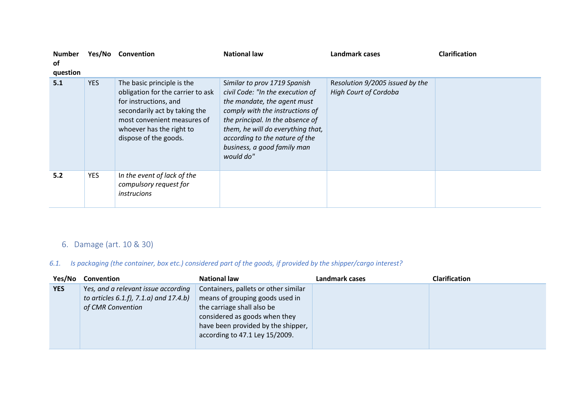| <b>Number</b><br>of<br>question |            | Yes/No Convention                                                                                                                                                                                             | <b>National law</b>                                                                                                                                                                                                                                                                       | Landmark cases                                                  | <b>Clarification</b> |
|---------------------------------|------------|---------------------------------------------------------------------------------------------------------------------------------------------------------------------------------------------------------------|-------------------------------------------------------------------------------------------------------------------------------------------------------------------------------------------------------------------------------------------------------------------------------------------|-----------------------------------------------------------------|----------------------|
| 5.1                             | <b>YES</b> | The basic principle is the<br>obligation for the carrier to ask<br>for instructions, and<br>secondarily act by taking the<br>most convenient measures of<br>whoever has the right to<br>dispose of the goods. | Similar to prov 1719 Spanish<br>civil Code: "In the execution of<br>the mandate, the agent must<br>comply with the instructions of<br>the principal. In the absence of<br>them, he will do everything that,<br>according to the nature of the<br>business, a good family man<br>would do" | Resolution 9/2005 issued by the<br><b>High Court of Cordoba</b> |                      |
| 5.2                             | <b>YES</b> | In the event of lack of the<br>compulsory request for<br><i>instrucions</i>                                                                                                                                   |                                                                                                                                                                                                                                                                                           |                                                                 |                      |

# 6. Damage (art. 10 & 30)

## *6.1. Is packaging (the container, box etc.) considered part of the goods, if provided by the shipper/cargo interest?*

| Yes/No     | Convention                                                                                             | <b>National law</b>                                                                                                                                                                                            | Landmark cases | <b>Clarification</b> |
|------------|--------------------------------------------------------------------------------------------------------|----------------------------------------------------------------------------------------------------------------------------------------------------------------------------------------------------------------|----------------|----------------------|
| <b>YES</b> | Yes, and a relevant issue according<br>to articles $6.1.f$ , $7.1.a$ and $17.4.b$<br>of CMR Convention | Containers, pallets or other similar<br>means of grouping goods used in<br>the carriage shall also be<br>considered as goods when they<br>have been provided by the shipper,<br>according to 47.1 Ley 15/2009. |                |                      |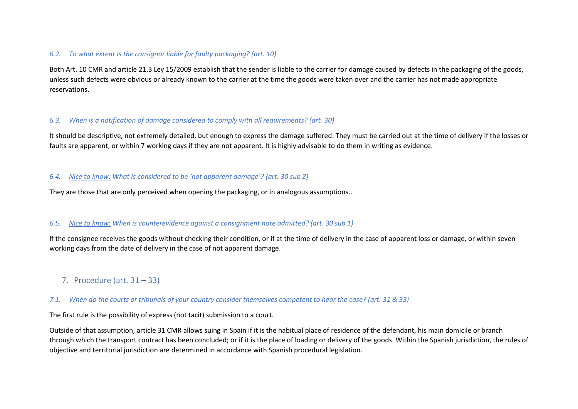#### *6.2. To what extent Is the consignor liable for faulty packaging? (art. 10)*

Both Art. 10 CMR and article 21.3 Ley 15/2009 establish that the sender is liable to the carrier for damage caused by defects in the packaging of the goods, unless such defects were obvious or already known to the carrier at the time the goods were taken over and the carrier has not made appropriate reservations.

### *6.3. When is a notification of damage considered to comply with all requirements? (art. 30)*

It should be descriptive, not extremely detailed, but enough to express the damage suffered. They must be carried out at the time of delivery if the losses or faults are apparent, or within 7 working days if they are not apparent. It is highly advisable to do them in writing as evidence.

#### *6.4. Nice to know: What is considered to be 'not apparent damage'? (art. 30 sub 2)*

They are those that are only perceived when opening the packaging, or in analogous assumptions..

### *6.5. Nice to know: When is counterevidence against a consignment note admitted? (art. 30 sub 1)*

If the consignee receives the goods without checking their condition, or if at the time of delivery in the case of apparent loss or damage, or within seven working days from the date of delivery in the case of not apparent damage.

7. Procedure (art. 31 – 33)

#### *7.1. When do the courts or tribunals of your country consider themselves competent to hear the case? (art. 31 & 33)*

The first rule is the possibility of express (not tacit) submission to a court.

Outside of that assumption, article 31 CMR allows suing in Spain if it is the habitual place of residence of the defendant, his main domicile or branch through which the transport contract has been concluded; or if it is the place of loading or delivery of the goods. Within the Spanish jurisdiction, the rules of objective and territorial jurisdiction are determined in accordance with Spanish procedural legislation.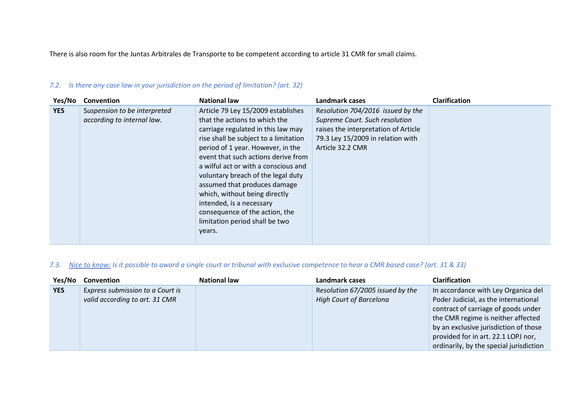There is also room for the Juntas Arbitrales de Transporte to be competent according to article 31 CMR for small claims.

| Yes/No     | <b>Convention</b>                                          | <b>National law</b>                                                                                                                                                                                                                                                                                                                                                                                                                                                                     | Landmark cases                                                                                                                                                       | <b>Clarification</b> |
|------------|------------------------------------------------------------|-----------------------------------------------------------------------------------------------------------------------------------------------------------------------------------------------------------------------------------------------------------------------------------------------------------------------------------------------------------------------------------------------------------------------------------------------------------------------------------------|----------------------------------------------------------------------------------------------------------------------------------------------------------------------|----------------------|
| <b>YES</b> | Suspension to be interpreted<br>according to internal law. | Article 79 Ley 15/2009 establishes<br>that the actions to which the<br>carriage regulated in this law may<br>rise shall be subject to a limitation<br>period of 1 year. However, in the<br>event that such actions derive from<br>a wilful act or with a conscious and<br>voluntary breach of the legal duty<br>assumed that produces damage<br>which, without being directly<br>intended, is a necessary<br>consequence of the action, the<br>limitation period shall be two<br>years. | Resolution 704/2016 issued by the<br>Supreme Court. Such resolution<br>raises the interpretation of Article<br>79.3 Ley 15/2009 in relation with<br>Article 32.2 CMR |                      |

### *7.2. Is there any case law in your jurisdiction on the period of limitation? (art. 32)*

### *7.3. Nice to know: Is it possible to award a single court or tribunal with exclusive competence to hear a CMR based case? (art. 31 & 33)*

| Yes/No     | Convention                       | <b>National law</b> | Landmark cases                   | <b>Clarification</b>                    |
|------------|----------------------------------|---------------------|----------------------------------|-----------------------------------------|
| <b>YES</b> | Express submission to a Court is |                     | Resolution 67/2005 issued by the | In accordance with Ley Organica del     |
|            | valid according to art. 31 CMR   |                     | <b>High Court of Barcelona</b>   | Poder Judicial, as the international    |
|            |                                  |                     |                                  | contract of carriage of goods under     |
|            |                                  |                     |                                  | the CMR regime is neither affected      |
|            |                                  |                     |                                  | by an exclusive jurisdiction of those   |
|            |                                  |                     |                                  | provided for in art. 22.1 LOPJ nor,     |
|            |                                  |                     |                                  | ordinarily, by the special jurisdiction |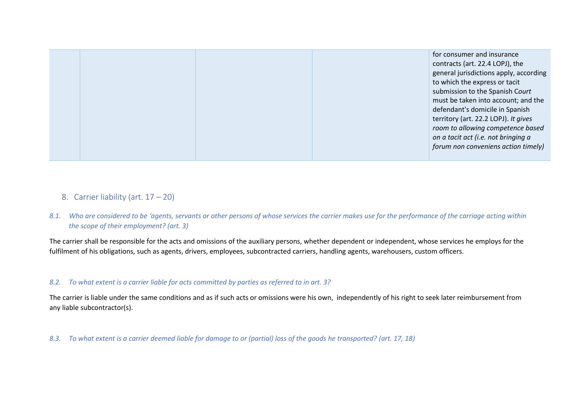| for consumer and insurance             |
|----------------------------------------|
| contracts (art. 22.4 LOPJ), the        |
| general jurisdictions apply, according |
| to which the express or tacit          |
| submission to the Spanish Court        |
| must be taken into account; and the    |
| defendant's domicile in Spanish        |
| territory (art. 22.2 LOPJ). It gives   |
| room to allowing competence based      |
| on a tacit act (i.e. not bringing a    |
| forum non conveniens action timely)    |
|                                        |

- 8. Carrier liability (art. 17 20)
- *8.1. Who are considered to be 'agents, servants or other persons of whose services the carrier makes use for the performance of the carriage acting within the scope of their employment? (art. 3)*

The carrier shall be responsible for the acts and omissions of the auxiliary persons, whether dependent or independent, whose services he employs for the fulfilment of his obligations, such as agents, drivers, employees, subcontracted carriers, handling agents, warehousers, custom officers.

#### *8.2. To what extent is a carrier liable for acts committed by parties as referred to in art. 3?*

The carrier is liable under the same conditions and as if such acts or omissions were his own, independently of his right to seek later reimbursement from any liable subcontractor(s).

*8.3. To what extent is a carrier deemed liable for damage to or (partial) loss of the goods he transported? (art. 17, 18)*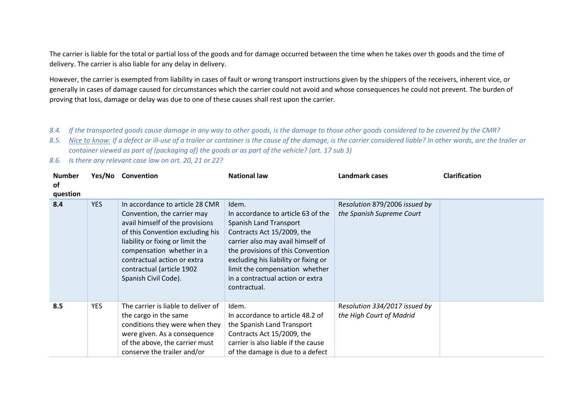The carrier is liable for the total or partial loss of the goods and for damage occurred between the time when he takes over th goods and the time of delivery. The carrier is also liable for any delay in delivery.

However, the carrier is exempted from liability in cases of fault or wrong transport instructions given by the shippers of the receivers, inherent vice, or generally in cases of damage caused for circumstances which the carrier could not avoid and whose consequences he could not prevent. The burden of proving that loss, damage or delay was due to one of these causes shall rest upon the carrier.

- *8.4. If the transported goods cause damage in any way to other goods, is the damage to those other goods considered to be covered by the CMR?*
- *8.5. Nice to know: If a defect or ill-use of a trailer or container is the cause of the damage, is the carrier considered liable? In other words, are the trailer or container viewed as part of (packaging of) the goods or as part of the vehicle? (art. 17 sub 3)*
- *8.6. Is there any relevant case law on art. 20, 21 or 22?*

| <b>Number</b><br>of<br>question |            | Yes/No Convention                                                                                                                                                                                                                                                                          | <b>National law</b>                                                                                                                                                                                                                                                                                         | <b>Landmark cases</b>                                      | <b>Clarification</b> |
|---------------------------------|------------|--------------------------------------------------------------------------------------------------------------------------------------------------------------------------------------------------------------------------------------------------------------------------------------------|-------------------------------------------------------------------------------------------------------------------------------------------------------------------------------------------------------------------------------------------------------------------------------------------------------------|------------------------------------------------------------|----------------------|
| 8.4                             | <b>YES</b> | In accordance to article 28 CMR<br>Convention, the carrier may<br>avail himself of the provisions<br>of this Convention excluding his<br>liability or fixing or limit the<br>compensation whether in a<br>contractual action or extra<br>contractual (article 1902<br>Spanish Civil Code). | Idem.<br>In accordance to article 63 of the<br>Spanish Land Transport<br>Contracts Act 15/2009, the<br>carrier also may avail himself of<br>the provisions of this Convention<br>excluding his liability or fixing or<br>limit the compensation whether<br>in a contractual action or extra<br>contractual. | Resolution 879/2006 issued by<br>the Spanish Supreme Court |                      |
| 8.5                             | <b>YES</b> | The carrier is liable to deliver of<br>the cargo in the same<br>conditions they were when they<br>were given. As a consequence<br>of the above, the carrier must<br>conserve the trailer and/or                                                                                            | Idem.<br>In accordance to article 48.2 of<br>the Spanish Land Transport<br>Contracts Act 15/2009, the<br>carrier is also liable if the cause<br>of the damage is due to a defect                                                                                                                            | Resolution 334/2017 issued by<br>the High Court of Madrid  |                      |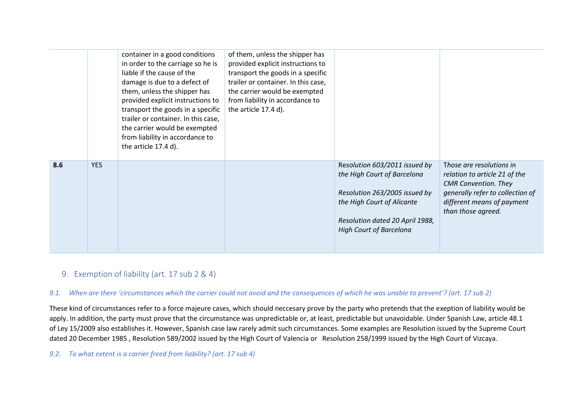|     |            | container in a good conditions<br>in order to the carriage so he is<br>liable if the cause of the<br>damage is due to a defect of<br>them, unless the shipper has<br>provided explicit instructions to<br>transport the goods in a specific<br>trailer or container. In this case,<br>the carrier would be exempted<br>from liability in accordance to<br>the article 17.4 d). | of them, unless the shipper has<br>provided explicit instructions to<br>transport the goods in a specific<br>trailer or container. In this case,<br>the carrier would be exempted<br>from liability in accordance to<br>the article 17.4 d). |                                                                                                                                                                                                  |                                                                                                                                                                                  |
|-----|------------|--------------------------------------------------------------------------------------------------------------------------------------------------------------------------------------------------------------------------------------------------------------------------------------------------------------------------------------------------------------------------------|----------------------------------------------------------------------------------------------------------------------------------------------------------------------------------------------------------------------------------------------|--------------------------------------------------------------------------------------------------------------------------------------------------------------------------------------------------|----------------------------------------------------------------------------------------------------------------------------------------------------------------------------------|
| 8.6 | <b>YES</b> |                                                                                                                                                                                                                                                                                                                                                                                |                                                                                                                                                                                                                                              | Resolution 603/2011 issued by<br>the High Court of Barcelona<br>Resolution 263/2005 issued by<br>the High Court of Alicante<br>Resolution dated 20 April 1988,<br><b>High Court of Barcelona</b> | Those are resolutions in<br>relation to article 21 of the<br><b>CMR</b> Convention. They<br>generally refer to collection of<br>different means of payment<br>than those agreed. |

## 9. Exemption of liability (art. 17 sub 2 & 4)

#### *9.1. When are there 'circumstances which the carrier could not avoid and the consequences of which he was unable to prevent'? (art. 17 sub 2)*

These kind of circumstances refer to a force majeure cases, which should neccesary prove by the party who pretends that the exeption of liability would be apply. In addition, the party must prove that the circumstance was unpredictable or, at least, predictable but unavoidable. Under Spanish Law, article 48.1 of Ley 15/2009 also establishes it. However, Spanish case law rarely admit such circumstances. Some examples are Resolution issued by the Supreme Court dated 20 December 1985 , Resolution 589/2002 issued by the High Court of Valencia or Resolution 258/1999 issued by the High Court of Vizcaya.

#### *9.2. To what extent is a carrier freed from liability? (art. 17 sub 4)*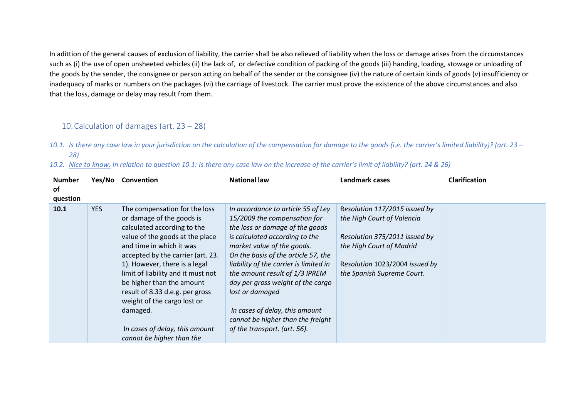In adittion of the general causes of exclusion of liability, the carrier shall be also relieved of liability when the loss or damage arises from the circumstances such as (i) the use of open unsheeted vehicles (ii) the lack of, or defective condition of packing of the goods (iii) handing, loading, stowage or unloading of the goods by the sender, the consignee or person acting on behalf of the sender or the consignee (iv) the nature of certain kinds of goods (v) insufficiency or inadequacy of marks or numbers on the packages (vi) the carriage of livestock. The carrier must prove the existence of the above circumstances and also that the loss, damage or delay may result from them.

## 10.Calculation of damages (art. 23 – 28)

- *10.1. Is there any case law in your jurisdiction on the calculation of the compensation for damage to the goods (i.e. the carrier's limited liability)? (art. 23 – 28)*
- *10.2. Nice to know: In relation to question 10.1: Is there any case law on the increase of the carrier's limit of liability? (art. 24 & 26)*

| <b>Number</b><br><b>of</b><br>question |            | Yes/No Convention                                                                                                                                                                                                                                                                                                                                                                                                                              | <b>National law</b>                                                                                                                                                                                                                                                                                                                                                                                                                                     | <b>Landmark cases</b>                                                                                                                                                                    | <b>Clarification</b> |
|----------------------------------------|------------|------------------------------------------------------------------------------------------------------------------------------------------------------------------------------------------------------------------------------------------------------------------------------------------------------------------------------------------------------------------------------------------------------------------------------------------------|---------------------------------------------------------------------------------------------------------------------------------------------------------------------------------------------------------------------------------------------------------------------------------------------------------------------------------------------------------------------------------------------------------------------------------------------------------|------------------------------------------------------------------------------------------------------------------------------------------------------------------------------------------|----------------------|
| 10.1                                   | <b>YES</b> | The compensation for the loss<br>or damage of the goods is<br>calculated according to the<br>value of the goods at the place<br>and time in which it was<br>accepted by the carrier (art. 23.<br>1). However, there is a legal<br>limit of liability and it must not<br>be higher than the amount<br>result of 8.33 d.e.g. per gross<br>weight of the cargo lost or<br>damaged.<br>In cases of delay, this amount<br>cannot be higher than the | In accordance to article 55 of Ley<br>15/2009 the compensation for<br>the loss or damage of the goods<br>is calculated according to the<br>market value of the goods.<br>On the basis of the article 57, the<br>liability of the carrier is limited in<br>the amount result of 1/3 IPREM<br>day per gross weight of the cargo<br>lost or damaged<br>In cases of delay, this amount<br>cannot be higher than the freight<br>of the transport. (art. 56). | Resolution 117/2015 issued by<br>the High Court of Valencia<br>Resolution 375/2011 issued by<br>the High Court of Madrid<br>Resolution 1023/2004 issued by<br>the Spanish Supreme Court. |                      |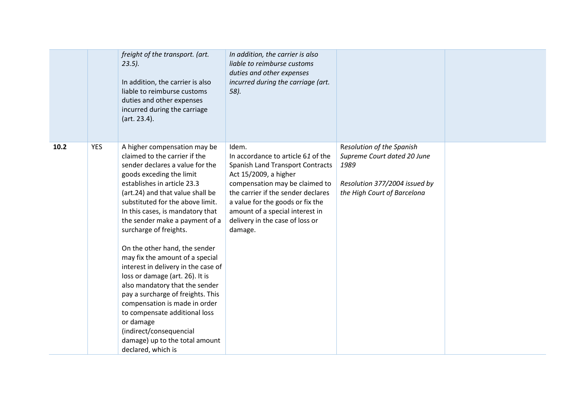|      |            | freight of the transport. (art.<br>$23.5$ ).<br>In addition, the carrier is also<br>liable to reimburse customs<br>duties and other expenses<br>incurred during the carriage<br>(art. 23.4).                                                                                                                                                                                                                                                                                                                                                                                                                                                                                                                               | In addition, the carrier is also<br>liable to reimburse customs<br>duties and other expenses<br>incurred during the carriage (art.<br>58).                                                                                                                                                            |                                                                                                                                  |  |
|------|------------|----------------------------------------------------------------------------------------------------------------------------------------------------------------------------------------------------------------------------------------------------------------------------------------------------------------------------------------------------------------------------------------------------------------------------------------------------------------------------------------------------------------------------------------------------------------------------------------------------------------------------------------------------------------------------------------------------------------------------|-------------------------------------------------------------------------------------------------------------------------------------------------------------------------------------------------------------------------------------------------------------------------------------------------------|----------------------------------------------------------------------------------------------------------------------------------|--|
| 10.2 | <b>YES</b> | A higher compensation may be<br>claimed to the carrier if the<br>sender declares a value for the<br>goods exceding the limit<br>establishes in article 23.3<br>(art.24) and that value shall be<br>substituted for the above limit.<br>In this cases, is mandatory that<br>the sender make a payment of a<br>surcharge of freights.<br>On the other hand, the sender<br>may fix the amount of a special<br>interest in delivery in the case of<br>loss or damage (art. 26). It is<br>also mandatory that the sender<br>pay a surcharge of freights. This<br>compensation is made in order<br>to compensate additional loss<br>or damage<br>(indirect/consequencial<br>damage) up to the total amount<br>declared, which is | Idem.<br>In accordance to article 61 of the<br>Spanish Land Transport Contracts<br>Act 15/2009, a higher<br>compensation may be claimed to<br>the carrier if the sender declares<br>a value for the goods or fix the<br>amount of a special interest in<br>delivery in the case of loss or<br>damage. | Resolution of the Spanish<br>Supreme Court dated 20 June<br>1989<br>Resolution 377/2004 issued by<br>the High Court of Barcelona |  |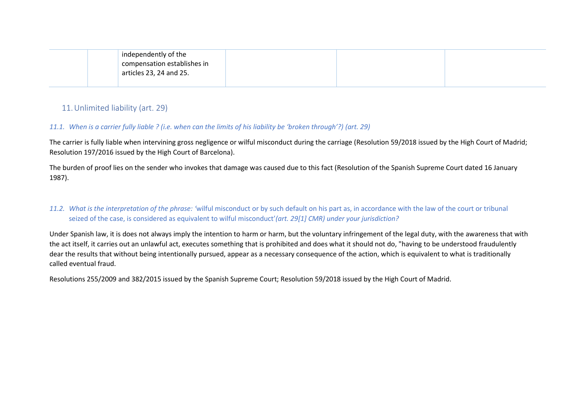| independently of the<br>compensation establishes in |  |
|-----------------------------------------------------|--|
| articles 23, 24 and 25.                             |  |

## 11.Unlimited liability (art. 29)

### *11.1. When is a carrier fully liable ? (i.e. when can the limits of his liability be 'broken through'?) (art. 29)*

The carrier is fully liable when intervining gross negligence or wilful misconduct during the carriage (Resolution 59/2018 issued by the High Court of Madrid; Resolution 197/2016 issued by the High Court of Barcelona).

The burden of proof lies on the sender who invokes that damage was caused due to this fact (Resolution of the Spanish Supreme Court dated 16 January 1987).

### *11.2. What is the interpretation of the phrase: '*wilful misconduct or by such default on his part as, in accordance with the law of the court or tribunal seized of the case, is considered as equivalent to wilful misconduct'*(art. 29[1] CMR) under your jurisdiction?*

Under Spanish law, it is does not always imply the intention to harm or harm, but the voluntary infringement of the legal duty, with the awareness that with the act itself, it carries out an unlawful act, executes something that is prohibited and does what it should not do, "having to be understood fraudulently dear the results that without being intentionally pursued, appear as a necessary consequence of the action, which is equivalent to what is traditionally called eventual fraud.

Resolutions 255/2009 and 382/2015 issued by the Spanish Supreme Court; Resolution 59/2018 issued by the High Court of Madrid.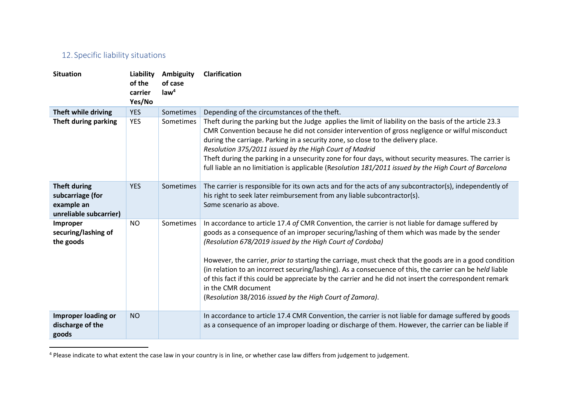# 12. Specific liability situations

| <b>Situation</b>                                                                | Liability<br>of the<br>carrier<br>Yes/No | Ambiguity<br>of case<br>law <sup>4</sup> | <b>Clarification</b>                                                                                                                                                                                                                                                                                                                                                                                                                                                                                                                                                                                                                                                              |
|---------------------------------------------------------------------------------|------------------------------------------|------------------------------------------|-----------------------------------------------------------------------------------------------------------------------------------------------------------------------------------------------------------------------------------------------------------------------------------------------------------------------------------------------------------------------------------------------------------------------------------------------------------------------------------------------------------------------------------------------------------------------------------------------------------------------------------------------------------------------------------|
| Theft while driving                                                             | <b>YES</b>                               | Sometimes                                | Depending of the circumstances of the theft.                                                                                                                                                                                                                                                                                                                                                                                                                                                                                                                                                                                                                                      |
| Theft during parking                                                            | <b>YES</b>                               | Sometimes                                | Theft during the parking but the Judge applies the limit of liability on the basis of the article 23.3<br>CMR Convention because he did not consider intervention of gross negligence or wilful misconduct<br>during the carriage. Parking in a security zone, so close to the delivery place.<br>Resolution 375/2011 issued by the High Court of Madrid<br>Theft during the parking in a unsecurity zone for four days, without security measures. The carrier is<br>full liable an no limitiation is applicable (Resolution 181/2011 issued by the High Court of Barcelona                                                                                                      |
| <b>Theft during</b><br>subcarriage (for<br>example an<br>unreliable subcarrier) | <b>YES</b>                               | Sometimes                                | The carrier is responsible for its own acts and for the acts of any subcontractor(s), independently of<br>his right to seek later reimbursement from any liable subcontractor(s).<br>Same scenario as above.                                                                                                                                                                                                                                                                                                                                                                                                                                                                      |
| Improper<br>securing/lashing of<br>the goods                                    | <b>NO</b>                                | Sometimes                                | In accordance to article 17.4 of CMR Convention, the carrier is not liable for damage suffered by<br>goods as a consequence of an improper securing/lashing of them which was made by the sender<br>(Resolution 678/2019 issued by the High Court of Cordoba)<br>However, the carrier, prior to starting the carriage, must check that the goods are in a good condition<br>(in relation to an incorrect securing/lashing). As a consecuence of this, the carrier can be held liable<br>of this fact if this could be appreciate by the carrier and he did not insert the correspondent remark<br>in the CMR document<br>(Resolution 38/2016 issued by the High Court of Zamora). |
| <b>Improper loading or</b><br>discharge of the<br>goods                         | <b>NO</b>                                |                                          | In accordance to article 17.4 CMR Convention, the carrier is not liable for damage suffered by goods<br>as a consequence of an improper loading or discharge of them. However, the carrier can be liable if                                                                                                                                                                                                                                                                                                                                                                                                                                                                       |

<sup>&</sup>lt;sup>4</sup> Please indicate to what extent the case law in your country is in line, or whether case law differs from judgement to judgement.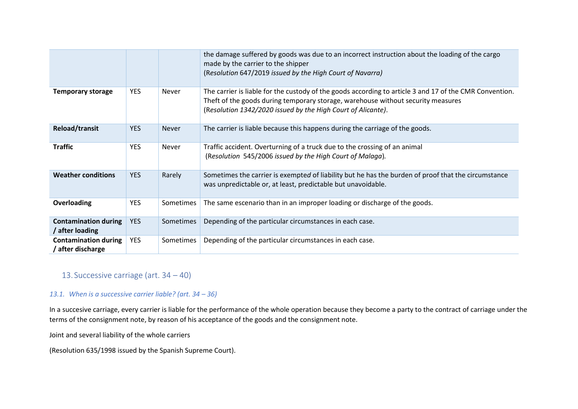|                                                  |            |              | the damage suffered by goods was due to an incorrect instruction about the loading of the cargo<br>made by the carrier to the shipper<br>(Resolution 647/2019 issued by the High Court of Navarra)                                                          |
|--------------------------------------------------|------------|--------------|-------------------------------------------------------------------------------------------------------------------------------------------------------------------------------------------------------------------------------------------------------------|
| <b>Temporary storage</b>                         | <b>YES</b> | <b>Never</b> | The carrier is liable for the custody of the goods according to article 3 and 17 of the CMR Convention.<br>Theft of the goods during temporary storage, warehouse without security measures<br>(Resolution 1342/2020 issued by the High Court of Alicante). |
| <b>Reload/transit</b>                            | <b>YES</b> | <b>Never</b> | The carrier is liable because this happens during the carriage of the goods.                                                                                                                                                                                |
| <b>Traffic</b>                                   | <b>YES</b> | <b>Never</b> | Traffic accident. Overturning of a truck due to the crossing of an animal<br>(Resolution 545/2006 issued by the High Court of Malaga).                                                                                                                      |
| <b>Weather conditions</b>                        | <b>YES</b> | Rarely       | Sometimes the carrier is exempted of liability but he has the burden of proof that the circumstance<br>was unpredictable or, at least, predictable but unavoidable.                                                                                         |
| Overloading                                      | <b>YES</b> | Sometimes    | The same escenario than in an improper loading or discharge of the goods.                                                                                                                                                                                   |
| <b>Contamination during</b><br>/ after loading   | <b>YES</b> | Sometimes    | Depending of the particular circumstances in each case.                                                                                                                                                                                                     |
| <b>Contamination during</b><br>/ after discharge | <b>YES</b> | Sometimes    | Depending of the particular circumstances in each case.                                                                                                                                                                                                     |

## 13. Successive carriage (art. 34 – 40)

#### *13.1. When is a successive carrier liable? (art. 34 – 36)*

In a succesive carriage, every carrier is liable for the performance of the whole operation because they become a party to the contract of carriage under the terms of the consignment note, by reason of his acceptance of the goods and the consignment note.

Joint and several liability of the whole carriers

(Resolution 635/1998 issued by the Spanish Supreme Court).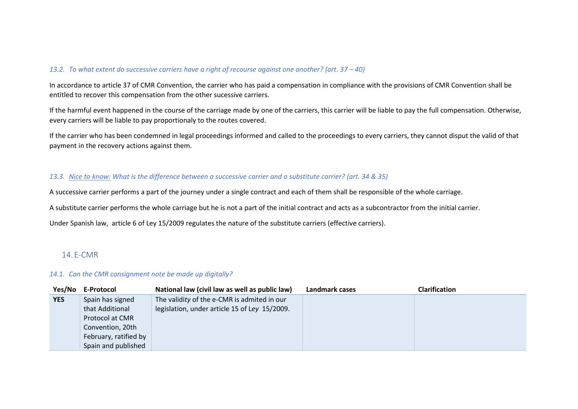#### *13.2. To what extent do successive carriers have a right of recourse against one another? (art. 37 – 40)*

In accordance to article 37 of CMR Convention, the carrier who has paid a compensation in compliance with the provisions of CMR Convention shall be entitled to recover this compensation from the other sucessive carriers.

If the harmful event happened in the course of the carriage made by one of the carriers, this carrier will be liable to pay the full compensation. Otherwise, every carriers will be liable to pay proportionaly to the routes covered.

If the carrier who has been condemned in legal proceedings informed and called to the proceedings to every carriers, they cannot disput the valid of that payment in the recovery actions against them.

#### *13.3. Nice to know: What is the difference between a successive carrier and a substitute carrier? (art. 34 & 35)*

A successive carrier performs a part of the journey under a single contract and each of them shall be responsible of the whole carriage.

A substitute carrier performs the whole carriage but he is not a part of the initial contract and acts as a subcontractor from the initial carrier.

Under Spanish law, article 6 of Ley 15/2009 regulates the nature of the substitute carriers (effective carriers).

### 14. E-CMR

#### *14.1. Can the CMR consignment note be made up digitally?*

| Yes/No     | E-Protocol            | National law (civil law as well as public law) | Landmark cases | <b>Clarification</b> |
|------------|-----------------------|------------------------------------------------|----------------|----------------------|
| <b>YES</b> | Spain has signed      | The validity of the e-CMR is admited in our    |                |                      |
|            | that Additional       | legislation, under article 15 of Ley 15/2009.  |                |                      |
|            | Protocol at CMR       |                                                |                |                      |
|            | Convention, 20th      |                                                |                |                      |
|            | February, ratified by |                                                |                |                      |
|            | Spain and published   |                                                |                |                      |